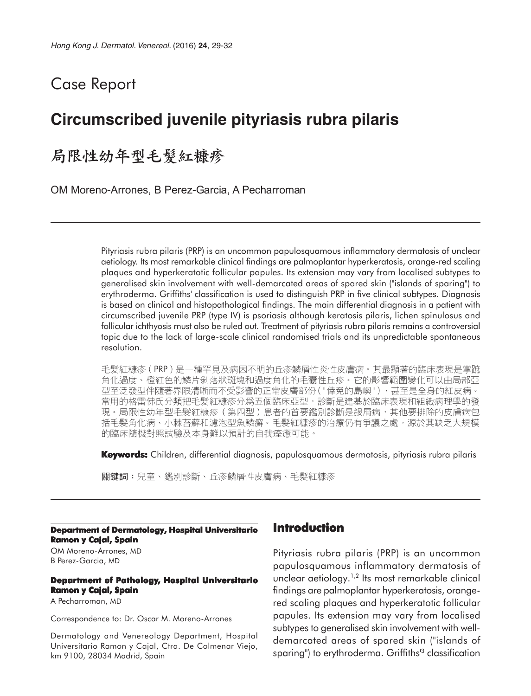# Case Report

# **Circumscribed juvenile pityriasis rubra pilaris**

## 局限性幼年型毛髮紅糠疹

OM Moreno-Arrones, B Perez-Garcia, A Pecharroman

Pityriasis rubra pilaris (PRP) is an uncommon papulosquamous inflammatory dermatosis of unclear aetiology. Its most remarkable clinical findings are palmoplantar hyperkeratosis, orange-red scaling plaques and hyperkeratotic follicular papules. Its extension may vary from localised subtypes to generalised skin involvement with well-demarcated areas of spared skin ("islands of sparing") to erythroderma. Griffiths' classification is used to distinguish PRP in five clinical subtypes. Diagnosis is based on clinical and histopathological findings. The main differential diagnosis in a patient with circumscribed juvenile PRP (type IV) is psoriasis although keratosis pilaris, lichen spinulosus and follicular ichthyosis must also be ruled out. Treatment of pityriasis rubra pilaris remains a controversial topic due to the lack of large-scale clinical randomised trials and its unpredictable spontaneous resolution.

毛髮紅糠疹(PRP)是一種罕見及病因不明的丘疹鱗屑性炎性皮膚病。其最顯著的臨床表現是掌蹠 角化過度、橙紅色的鱗片剝落狀斑塊和過度角化的毛囊性丘疹。它的影響範圍變化可以由局部亞 型至泛發型伴隨著界限清晰而不受影響的正常皮膚部份("倖免的島嶼"),甚至是全身的紅皮病。 常用的格雷佛氏分類把毛髮紅糠疹分爲五個臨床亞型,診斷是建基於臨床表現和組織病理學的發 現。局限性幼年型毛髮紅糠疹(第四型)患者的首要鑑別診斷是銀屑病,其他要排除的皮膚病包 括毛髮角化病、小棘苔蘚和濾泡型魚鱗癬。毛髮紅糠疹的治療仍有爭議之處,源於其缺乏大規模 的臨床隨機對照試驗及本身難以預計的自我痊癒可能。

**Keywords:** Children, differential diagnosis, papulosquamous dermatosis, pityriasis rubra pilaris

關鍵詞:兒童、鑑別診斷、丘疹鱗屑性皮膚病、毛髮紅糠疹

#### **Department of Dermatology, Hospital Universitario Ramon y Cajal, Spain**

OM Moreno-Arrones, MD B Perez-Garcia, MD

#### **Department of Pathology, Hospital Universitario Ramon y Cajal, Spain**

A Pecharroman, MD

Correspondence to: Dr. Oscar M. Moreno-Arrones

Dermatology and Venereology Department, Hospital Universitario Ramon y Cajal, Ctra. De Colmenar Viejo, km 9100, 28034 Madrid, Spain

### **Introduction**

Pityriasis rubra pilaris (PRP) is an uncommon papulosquamous inflammatory dermatosis of unclear aetiology.<sup>1,2</sup> Its most remarkable clinical findings are palmoplantar hyperkeratosis, orangered scaling plaques and hyperkeratotic follicular papules. Its extension may vary from localised subtypes to generalised skin involvement with welldemarcated areas of spared skin ("islands of sparing") to erythroderma. Griffiths<sup>13</sup> classification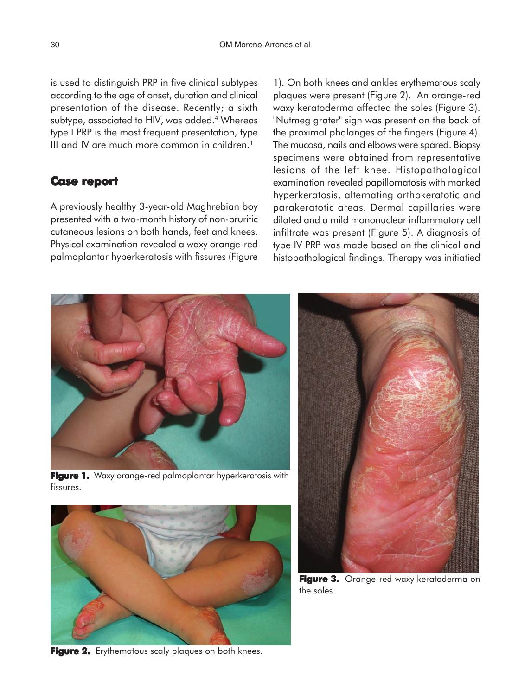is used to distinguish PRP in five clinical subtypes according to the age of onset, duration and clinical presentation of the disease. Recently; a sixth subtype, associated to HIV, was added.<sup>4</sup> Whereas type I PRP is the most frequent presentation, type III and IV are much more common in children. $1$ 

### **Case report report**

A previously healthy 3-year-old Maghrebian boy presented with a two-month history of non-pruritic cutaneous lesions on both hands, feet and knees. Physical examination revealed a waxy orange-red palmoplantar hyperkeratosis with fissures (Figure

1). On both knees and ankles erythematous scaly plaques were present (Figure 2). An orange-red waxy keratoderma affected the soles (Figure 3). "Nutmeg grater" sign was present on the back of the proximal phalanges of the fingers (Figure 4). The mucosa, nails and elbows were spared. Biopsy specimens were obtained from representative lesions of the left knee. Histopathological examination revealed papillomatosis with marked hyperkeratosis, alternating orthokeratotic and parakeratotic areas. Dermal capillaries were dilated and a mild mononuclear inflammatory cell infiltrate was present (Figure 5). A diagnosis of type IV PRP was made based on the clinical and histopathological findings. Therapy was initiatied

**Figure 1.** Waxy orange-red palmoplantar hyperkeratosis with fissures.

Figure 2. Erythematous scaly plaques on both knees.





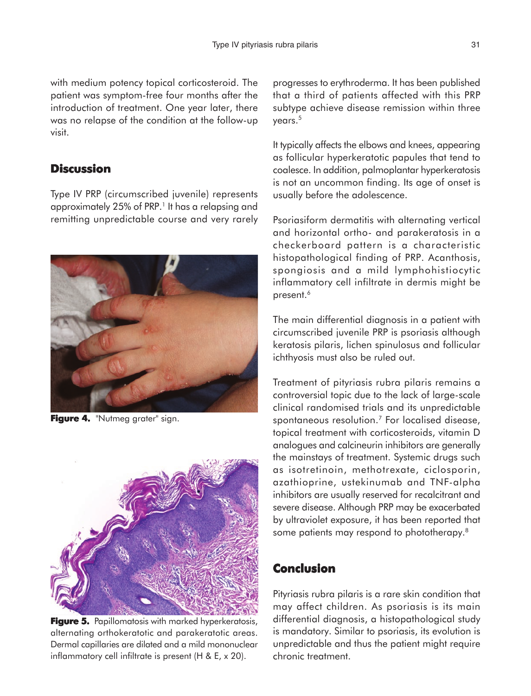with medium potency topical corticosteroid. The patient was symptom-free four months after the introduction of treatment. One year later, there was no relapse of the condition at the follow-up visit.

### **Discussion**

Type IV PRP (circumscribed juvenile) represents approximately 25% of PRP.<sup>1</sup> It has a relapsing and remitting unpredictable course and very rarely



Figure 4. "Nutmeg grater" sign.



**Figure 5.** Papillomatosis with marked hyperkeratosis, alternating orthokeratotic and parakeratotic areas. Dermal capillaries are dilated and a mild mononuclear inflammatory cell infiltrate is present (H & E, x 20).

progresses to erythroderma. It has been published that a third of patients affected with this PRP subtype achieve disease remission within three years.<sup>5</sup>

It typically affects the elbows and knees, appearing as follicular hyperkeratotic papules that tend to coalesce. In addition, palmoplantar hyperkeratosis is not an uncommon finding. Its age of onset is usually before the adolescence.

Psoriasiform dermatitis with alternating vertical and horizontal ortho- and parakeratosis in a checkerboard pattern is a characteristic histopathological finding of PRP. Acanthosis, spongiosis and a mild lymphohistiocytic inflammatory cell infiltrate in dermis might be present.<sup>6</sup>

The main differential diagnosis in a patient with circumscribed juvenile PRP is psoriasis although keratosis pilaris, lichen spinulosus and follicular ichthyosis must also be ruled out.

Treatment of pityriasis rubra pilaris remains a controversial topic due to the lack of large-scale clinical randomised trials and its unpredictable spontaneous resolution.7 For localised disease, topical treatment with corticosteroids, vitamin D analogues and calcineurin inhibitors are generally the mainstays of treatment. Systemic drugs such as isotretinoin, methotrexate, ciclosporin, azathioprine, ustekinumab and TNF-alpha inhibitors are usually reserved for recalcitrant and severe disease. Although PRP may be exacerbated by ultraviolet exposure, it has been reported that some patients may respond to phototherapy.<sup>8</sup>

## **Conclusion**

Pityriasis rubra pilaris is a rare skin condition that may affect children. As psoriasis is its main differential diagnosis, a histopathological study is mandatory. Similar to psoriasis, its evolution is unpredictable and thus the patient might require chronic treatment.